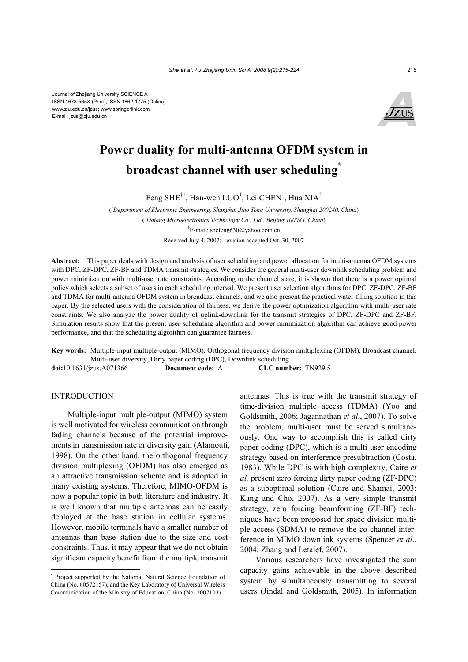

# **Power duality for multi-antenna OFDM system in broadcast channel with user scheduling\***

Feng SHE<sup>†1</sup>, Han-wen LUO<sup>1</sup>, Lei CHEN<sup>1</sup>, Hua XIA<sup>2</sup>

( *1 Department of Electronic Engineering, Shanghai Jiao Tong University, Shanghai 200240, China*) ( *2 Datang Microelectronics Technology Co., Ltd., Beijing 100083, China*) † E-mail: shefeng630@yahoo.com.cn Received July 4, 2007; revision accepted Oct. 30, 2007

**Abstract:** This paper deals with design and analysis of user scheduling and power allocation for multi-antenna OFDM systems with DPC, ZF-DPC, ZF-BF and TDMA transmit strategies. We consider the general multi-user downlink scheduling problem and power minimization with multi-user rate constraints. According to the channel state, it is shown that there is a power optimal policy which selects a subset of users in each scheduling interval. We present user selection algorithms for DPC, ZF-DPC, ZF-BF and TDMA for multi-antenna OFDM system in broadcast channels, and we also present the practical water-filling solution in this paper. By the selected users with the consideration of fairness, we derive the power optimization algorithm with multi-user rate constraints. We also analyze the power duality of uplink-downlink for the transmit strategies of DPC, ZF-DPC and ZF-BF. Simulation results show that the present user-scheduling algorithm and power minimization algorithm can achieve good power performance, and that the scheduling algorithm can guarantee fairness.

**Key words:** Multiple-input multiple-output (MIMO), Orthogonal frequency division multiplexing (OFDM), Broadcast channel, Multi-user diversity, Dirty paper coding (DPC), Downlink scheduling

**doi:**10.1631/jzus.A071366 **Document code:** A **CLC number:** TN929.5

## **INTRODUCTION**

Multiple-input multiple-output (MIMO) system is well motivated for wireless communication through fading channels because of the potential improvements in transmission rate or diversity gain (Alamouti, 1998). On the other hand, the orthogonal frequency division multiplexing (OFDM) has also emerged as an attractive transmission scheme and is adopted in many existing systems. Therefore, MIMO-OFDM is now a popular topic in both literature and industry. It is well known that multiple antennas can be easily deployed at the base station in cellular systems. However, mobile terminals have a smaller number of antennas than base station due to the size and cost constraints. Thus, it may appear that we do not obtain significant capacity benefit from the multiple transmit

antennas. This is true with the transmit strategy of time-division multiple access (TDMA) (Yoo and Goldsmith, 2006; Jagannathan *et al*., 2007). To solve the problem, multi-user must be served simultaneously. One way to accomplish this is called dirty paper coding (DPC), which is a multi-user encoding strategy based on interference presubtraction (Costa, 1983). While DPC is with high complexity, Caire *et al.* present zero forcing dirty paper coding (ZF-DPC) as a suboptimal solution (Caire and Shamai, 2003; Kang and Cho, 2007). As a very simple transmit strategy, zero forcing beamforming (ZF-BF) techniques have been proposed for space division multiple access (SDMA) to remove the co-channel interference in MIMO downlink systems (Spencer *et al*., 2004; Zhang and Letaief, 2007).

Various researchers have investigated the sum capacity gains achievable in the above described system by simultaneously transmitting to several users (Jindal and Goldsmith, 2005). In information

<sup>\*</sup> Project supported by the National Natural Science Foundation of China (No. 60572157), and the Key Laboratory of Universal Wireless Communication of the Ministry of Education, China (No. 2007103)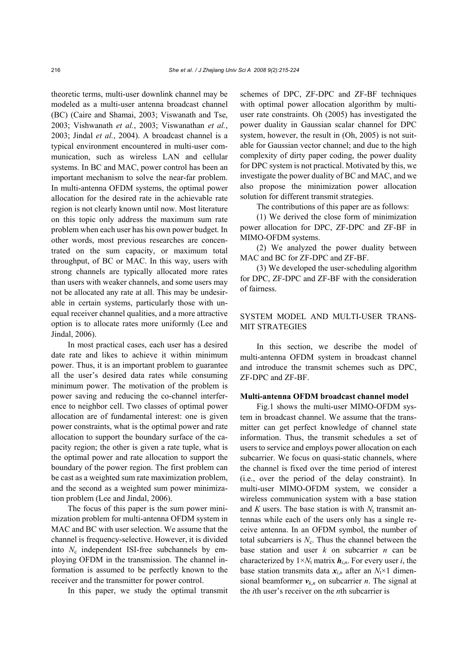theoretic terms, multi-user downlink channel may be modeled as a multi-user antenna broadcast channel (BC) (Caire and Shamai, 2003; Viswanath and Tse, 2003; Vishwanath *et al.*, 2003; Viswanathan *et al.*, 2003; Jindal *et al.*, 2004). A broadcast channel is a typical environment encountered in multi-user communication, such as wireless LAN and cellular systems. In BC and MAC, power control has been an important mechanism to solve the near-far problem. In multi-antenna OFDM systems, the optimal power allocation for the desired rate in the achievable rate region is not clearly known until now. Most literature on this topic only address the maximum sum rate problem when each user has his own power budget. In other words, most previous researches are concentrated on the sum capacity, or maximum total throughput, of BC or MAC. In this way, users with strong channels are typically allocated more rates than users with weaker channels, and some users may not be allocated any rate at all. This may be undesirable in certain systems, particularly those with unequal receiver channel qualities, and a more attractive option is to allocate rates more uniformly (Lee and Jindal, 2006).

In most practical cases, each user has a desired date rate and likes to achieve it within minimum power. Thus, it is an important problem to guarantee all the user's desired data rates while consuming minimum power. The motivation of the problem is power saving and reducing the co-channel interference to neighbor cell. Two classes of optimal power allocation are of fundamental interest: one is given power constraints, what is the optimal power and rate allocation to support the boundary surface of the capacity region; the other is given a rate tuple, what is the optimal power and rate allocation to support the boundary of the power region. The first problem can be cast as a weighted sum rate maximization problem, and the second as a weighted sum power minimization problem (Lee and Jindal, 2006).

The focus of this paper is the sum power minimization problem for multi-antenna OFDM system in MAC and BC with user selection. We assume that the channel is frequency-selective. However, it is divided into  $N_c$  independent ISI-free subchannels by employing OFDM in the transmission. The channel information is assumed to be perfectly known to the receiver and the transmitter for power control.

In this paper, we study the optimal transmit

schemes of DPC, ZF-DPC and ZF-BF techniques with optimal power allocation algorithm by multiuser rate constraints. Oh (2005) has investigated the power duality in Gaussian scalar channel for DPC system, however, the result in (Oh, 2005) is not suitable for Gaussian vector channel; and due to the high complexity of dirty paper coding, the power duality for DPC system is not practical. Motivated by this, we investigate the power duality of BC and MAC, and we also propose the minimization power allocation solution for different transmit strategies.

The contributions of this paper are as follows:

(1) We derived the close form of minimization power allocation for DPC, ZF-DPC and ZF-BF in MIMO-OFDM systems.

(2) We analyzed the power duality between MAC and BC for ZF-DPC and ZF-BF.

(3) We developed the user-scheduling algorithm for DPC, ZF-DPC and ZF-BF with the consideration of fairness.

# SYSTEM MODEL AND MULTI-USER TRANS-MIT STRATEGIES

In this section, we describe the model of multi-antenna OFDM system in broadcast channel and introduce the transmit schemes such as DPC, ZF-DPC and ZF-BF.

## **Multi-antenna OFDM broadcast channel model**

Fig.1 shows the multi-user MIMO-OFDM system in broadcast channel. We assume that the transmitter can get perfect knowledge of channel state information. Thus, the transmit schedules a set of users to service and employs power allocation on each subcarrier. We focus on quasi-static channels, where the channel is fixed over the time period of interest (i.e., over the period of the delay constraint). In multi-user MIMO-OFDM system, we consider a wireless communication system with a base station and *K* users. The base station is with  $N_t$  transmit antennas while each of the users only has a single receive antenna. In an OFDM symbol, the number of total subcarriers is  $N_c$ . Thus the channel between the base station and user *k* on subcarrier *n* can be characterized by  $1 \times N_t$  matrix  $h_{i,n}$ . For every user *i*, the base station transmits data  $x_{i,n}$  after an  $N_t \times 1$  dimensional beamformer  $v_{k,n}$  on subcarrier *n*. The signal at the *i*th user's receiver on the *n*th subcarrier is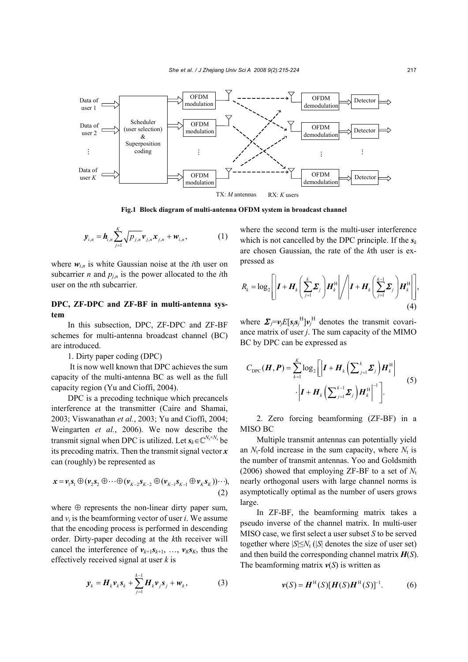

**Fig.1 Block diagram of multi-antenna OFDM system in broadcast channel** 

$$
\mathbf{y}_{i,n} = \mathbf{h}_{i,n} \sum_{j=1}^{K} \sqrt{p_{j,n}} \mathbf{v}_{j,n} \mathbf{x}_{j,n} + \mathbf{w}_{i,n},
$$
(1)

where  $w_{i,n}$  is white Gaussian noise at the *i*th user on subcarrier *n* and  $p_{j,n}$  is the power allocated to the *i*th user on the *n*th subcarrier.

# **DPC, ZF-DPC and ZF-BF in multi-antenna system**

In this subsection, DPC, ZF-DPC and ZF-BF schemes for multi-antenna broadcast channel (BC) are introduced.

1. Dirty paper coding (DPC)

It is now well known that DPC achieves the sum capacity of the multi-antenna BC as well as the full capacity region (Yu and Cioffi, 2004).

DPC is a precoding technique which precancels interference at the transmitter (Caire and Shamai, 2003; Viswanathan *et al.*, 2003; Yu and Cioffi, 2004; Weingarten *et al.*, 2006). We now describe the transmit signal when DPC is utilized. Let  $s_k \in \mathbb{C}^{N_t \times N_r}$  be its precoding matrix. Then the transmit signal vector *x* can (roughly) be represented as

$$
\mathbf{x} = \mathbf{v}_1 \mathbf{s}_1 \oplus (\mathbf{v}_2 \mathbf{s}_2 \oplus \cdots \oplus (\mathbf{v}_{K-2} \mathbf{s}_{K-2} \oplus (\mathbf{v}_{K-1} \mathbf{s}_{K-1} \oplus \mathbf{v}_K \mathbf{s}_K)) \cdots),
$$
\n(2)

where  $\oplus$  represents the non-linear dirty paper sum, and  $v_i$  is the beamforming vector of user *i*. We assume that the encoding process is performed in descending order. Dirty-paper decoding at the *k*th receiver will cancel the interference of  $v_{k+1}$ ,  $v_{k+1}$ ,  $v_{k}$ ,  $v_{k}$ , thus the effectively received signal at user *k* is

$$
\mathbf{y}_k = \boldsymbol{H}_k \boldsymbol{v}_k \boldsymbol{s}_k + \sum_{j=1}^{k-1} \boldsymbol{H}_k \boldsymbol{v}_j \boldsymbol{s}_j + \boldsymbol{w}_k, \tag{3}
$$

where the second term is the multi-user interference which is not cancelled by the DPC principle. If the *s<sup>k</sup>* are chosen Gaussian, the rate of the *k*th user is expressed as

$$
R_k = \log_2 \left[ \left| \boldsymbol{I} + \boldsymbol{H}_k \left( \sum_{j=1}^k \boldsymbol{\Sigma}_j \right) \boldsymbol{H}_k^{\mathrm{H}} \right| \middle/ \left| \boldsymbol{I} + \boldsymbol{H}_k \left( \sum_{j=1}^{k-1} \boldsymbol{\Sigma}_j \right) \boldsymbol{H}_k^{\mathrm{H}} \right| \right],
$$
\n(4)

where  $\sum_j = v_j E[s_j s_j^H] v_j^H$  denotes the transmit covariance matrix of user *j*. The sum capacity of the MIMO BC by DPC can be expressed as

$$
C_{\text{DPC}}(\boldsymbol{H}, \boldsymbol{P}) = \sum_{k=1}^{K} \log_2 \left[ \left| \boldsymbol{I} + \boldsymbol{H}_k \left( \sum_{j=1}^{k} \boldsymbol{\Sigma}_j \right) \boldsymbol{H}_k^{\text{H}} \right| \right] \tag{5}
$$

$$
\cdot \left| \boldsymbol{I} + \boldsymbol{H}_k \left( \sum_{j=1}^{k-1} \boldsymbol{\Sigma}_j \right) \boldsymbol{H}_k^{\text{H}} \right|^{-1} \right].
$$

2. Zero forcing beamforming (ZF-BF) in a MISO BC

Multiple transmit antennas can potentially yield an  $N_t$ -fold increase in the sum capacity, where  $N_t$  is the number of transmit antennas. Yoo and Goldsmith (2006) showed that employing ZF-BF to a set of  $N_t$ nearly orthogonal users with large channel norms is asymptotically optimal as the number of users grows large.

In ZF-BF, the beamforming matrix takes a pseudo inverse of the channel matrix. In multi-user MISO case, we first select a user subset *S* to be served together where  $|S| \leq N_t$  ( $|S|$  denotes the size of user set) and then build the corresponding channel matrix *H*(*S*). The beamforming matrix  $v(S)$  is written as

$$
\nu(S) = H^{\rm H}(S)[H(S)H^{\rm H}(S)]^{-1}.
$$
 (6)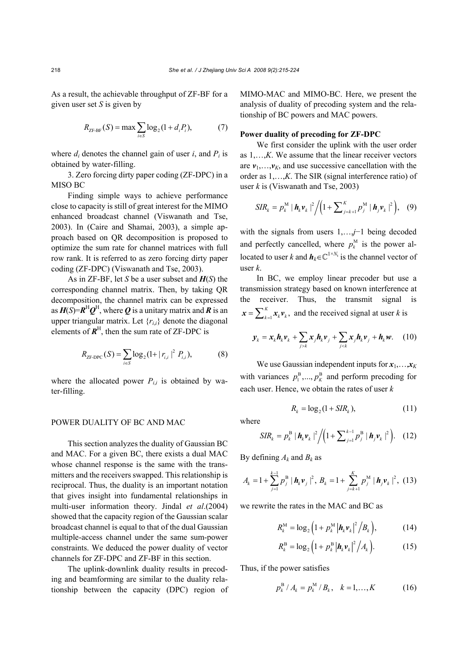As a result, the achievable throughput of ZF-BF for a given user set *S* is given by

$$
R_{ZF-BF}(S) = \max \sum_{i \in S} \log_2(1 + d_i P_i), \tag{7}
$$

where  $d_i$  denotes the channel gain of user *i*, and  $P_i$  is obtained by water-filling.

3. Zero forcing dirty paper coding (ZF-DPC) in a MISO BC

Finding simple ways to achieve performance close to capacity is still of great interest for the MIMO enhanced broadcast channel (Viswanath and Tse, 2003). In (Caire and Shamai, 2003), a simple approach based on QR decomposition is proposed to optimize the sum rate for channel matrices with full row rank. It is referred to as zero forcing dirty paper coding (ZF-DPC) (Viswanath and Tse, 2003).

As in ZF-BF, let *S* be a user subset and *H*(*S*) the corresponding channel matrix. Then, by taking QR decomposition, the channel matrix can be expressed as  $H(S)=R^{H}Q^{H}$ , where *Q* is a unitary matrix and *R* is an upper triangular matrix. Let  ${r_{i,i}}$  denote the diagonal elements of  $\mathbf{R}^{\text{H}}$ , then the sum rate of ZF-DPC is

$$
R_{\text{ZF-DPC}}(S) = \sum_{i \in S} \log_2(1 + |r_{i,i}|^2 P_{i,i}),\tag{8}
$$

where the allocated power  $P_{i,i}$  is obtained by water-filling.

#### POWER DUALITY OF BC AND MAC

This section analyzes the duality of Gaussian BC and MAC. For a given BC, there exists a dual MAC whose channel response is the same with the transmitters and the receivers swapped. This relationship is reciprocal. Thus, the duality is an important notation that gives insight into fundamental relationships in multi-user information theory. Jindal *et al*.(2004) showed that the capacity region of the Gaussian scalar broadcast channel is equal to that of the dual Gaussian multiple-access channel under the same sum-power constraints. We deduced the power duality of vector channels for ZF-DPC and ZF-BF in this section.

The uplink-downlink duality results in precoding and beamforming are similar to the duality relationship between the capacity (DPC) region of MIMO-MAC and MIMO-BC. Here, we present the analysis of duality of precoding system and the relationship of BC powers and MAC powers.

#### **Power duality of precoding for ZF-DPC**

We first consider the uplink with the user order as 1,…,*K*. We assume that the linear receiver vectors are  $v_1, \ldots, v_K$ , and use successive cancellation with the order as 1,…,*K*. The SIR (signal interference ratio) of user *k* is (Viswanath and Tse, 2003)

$$
SIR_{k} = p_{k}^{\mathrm{M}} \mid \boldsymbol{h}_{k} \boldsymbol{v}_{k} \mid^{2} / \Big( 1 + \sum_{j=k+1}^{K} p_{j}^{\mathrm{M}} \mid \boldsymbol{h}_{j} \boldsymbol{v}_{k} \mid^{2} \Big), \quad (9)
$$

with the signals from users 1,…,*j*−1 being decoded and perfectly cancelled, where  $p_k^M$  is the power allocated to user *k* and  $h_k \in \mathbb{C}^{1 \times N_t}$  is the channel vector of user *k*.

In BC, we employ linear precoder but use a transmission strategy based on known interference at the receiver. Thus, the transmit signal  $\mathbf{x} = \sum_{k=1}^{K} \mathbf{x}_k \mathbf{v}_k$ , and the received signal at user *k* is

$$
\mathbf{y}_k = \mathbf{x}_k \mathbf{h}_k \mathbf{v}_k + \sum_{j>k} \mathbf{x}_j \mathbf{h}_k \mathbf{v}_j + \sum_{j (10)
$$

We use Gaussian independent inputs for  $x_1, \ldots, x_k$ with variances  $p_1^B, ..., p_K^B$  and perform precoding for each user. Hence, we obtain the rates of user *k*

$$
R_k = \log_2(1 + SIR_k),\tag{11}
$$

where

$$
SIR_{k} = p_{k}^{B} | \mathbf{h}_{k} \mathbf{v}_{k} |^{2} / \Big( 1 + \sum_{j=1}^{k-1} p_{j}^{B} | \mathbf{h}_{j} \mathbf{v}_{k} |^{2} \Big). \quad (12)
$$

By defining  $A_k$  and  $B_k$  as

$$
A_{k} = 1 + \sum_{j=1}^{k-1} p_{j}^{B} | \mathbf{h}_{k} \mathbf{v}_{j} |^{2}, B_{k} = 1 + \sum_{j=k+1}^{K} p_{j}^{M} | \mathbf{h}_{j} \mathbf{v}_{k} |^{2}, (13)
$$

we rewrite the rates in the MAC and BC as

$$
R_k^{\mathcal{M}} = \log_2 \left( 1 + p_k^{\mathcal{M}} \left| \boldsymbol{h}_k \boldsymbol{v}_k \right|^2 / B_k \right), \tag{14}
$$

$$
R_k^{\mathrm{B}} = \log_2\left(1 + p_k^{\mathrm{B}} \left|\boldsymbol{h}_k \boldsymbol{v}_k\right|^2 / A_k\right). \tag{15}
$$

Thus, if the power satisfies

$$
p_k^B / A_k = p_k^M / B_k, \quad k = 1, ..., K \tag{16}
$$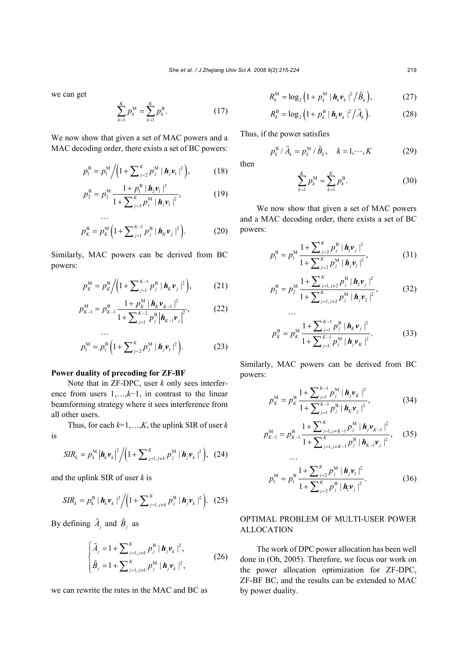we can get

$$
\sum_{k=1}^{K} p_k^{\rm M} = \sum_{k=1}^{K} p_k^{\rm B}.
$$
 (17)

We now show that given a set of MAC powers and a MAC decoding order, there exists a set of BC powers:

$$
p_1^{\rm B} = p_1^{\rm M} / \Big( 1 + \sum_{j=2}^{K} p_j^{\rm M} \, | \, \bm{h}_j \bm{v}_1 |^2 \Big), \tag{18}
$$

$$
p_2^{\rm B} = p_2^{\rm M} \frac{1 + p_1^{\rm B} |h_2 v_1|^2}{1 + \sum_{j=3}^{K} p_j^{\rm M} |h_j v_1|^2},
$$
 (19)

$$
p_K^{\rm B} = p_K^{\rm M} \left( 1 + \sum_{j=1}^{K-1} p_j^{\rm B} \left| \boldsymbol{h}_K \boldsymbol{v}_j \right|^2 \right). \tag{20}
$$

Similarly, MAC powers can be derived from BC powers:

…

$$
p_K^{\rm M} = p_K^{\rm B} / \Big( 1 + \sum_{j=1}^{K-1} p_j^{\rm B} \, | \, \bm{h}_K \bm{v}_j |^2 \Big), \tag{21}
$$

$$
p_{K-1}^{\mathrm{M}} = p_{K-1}^{\mathrm{B}} \frac{1 + p_K^{\mathrm{M}} \left| \boldsymbol{h}_K \boldsymbol{v}_{K-1} \right|^2}{1 + \sum_{j=1}^{K-2} p_j^{\mathrm{B}} \left| \boldsymbol{h}_{K-1} \boldsymbol{v}_j \right|^2},
$$
(22)

...  
\n
$$
p_1^{\rm M} = p_1^{\rm B} \left( 1 + \sum_{j=2}^{K} p_j^{\rm M} \left| \boldsymbol{h}_j \boldsymbol{v}_1 \right|^2 \right).
$$
\n(23)

### **Power duality of precoding for ZF-BF**

Note that in ZF-DPC, user *k* only sees interference from users 1,…,*k*−1, in contrast to the linear beamforming strategy where it sees interference from all other users.

Thus, for each  $k=1,\ldots,K$ , the uplink SIR of user  $k$ is

$$
SIR_{k} = p_{k}^{\mathrm{M}} \left| \boldsymbol{h}_{k} \boldsymbol{v}_{k} \right|^{2} \bigg/ \bigg( 1 + \sum_{j=1, j \neq k}^{K} p_{j}^{\mathrm{M}} \left| \boldsymbol{h}_{j} \boldsymbol{v}_{k} \right|^{2} \bigg), \quad (24)
$$

and the uplink SIR of user *k* is

$$
SIR_{k} = p_{k}^{B} | \mathbf{h}_{k} \mathbf{v}_{k} |^{2} / \Big( 1 + \sum_{j=1, j \neq k}^{K} p_{j}^{B} | \mathbf{h}_{j} \mathbf{v}_{k} |^{2} \Big). (25)
$$

By defining  $\tilde{A}_j$  and  $\tilde{B}_j$  as

$$
\begin{cases} \tilde{A}_{j} = 1 + \sum_{j=1, j \neq k}^{K} p_{j}^{\mathrm{B}} \, | \, \boldsymbol{h}_{j} \boldsymbol{v}_{k} |^{2}, \\ \tilde{B}_{j} = 1 + \sum_{j=1, j \neq k}^{K} p_{j}^{\mathrm{M}} \, | \, \boldsymbol{h}_{j} \boldsymbol{v}_{k} |^{2}, \end{cases} \tag{26}
$$

we can rewrite the rates in the MAC and BC as

$$
R_k^{\mathcal{M}} = \log_2 \left( 1 + p_k^{\mathcal{M}} \mid \boldsymbol{h}_k \boldsymbol{v}_k \mid^2 / \tilde{B}_k \right), \tag{27}
$$

$$
R_k^{\mathrm{B}} = \log_2 \left( 1 + p_k^{\mathrm{B}} \mid \boldsymbol{h}_k \boldsymbol{v}_k \mid^2 / \tilde{A}_k \right). \tag{28}
$$

Thus, if the power satisfies

…

…

$$
p_k^B / \tilde{A}_k = p_k^M / \tilde{B}_k, \quad k = 1, \cdots, K \tag{29}
$$

then

$$
\sum_{k=1}^{K} p_k^{\rm M} = \sum_{k=1}^{K} p_k^{\rm B}.
$$
 (30)

We now show that given a set of MAC powers and a MAC decoding order, there exists a set of BC powers:

$$
p_1^{\rm B} = p_1^{\rm M} \frac{1 + \sum_{j=2}^{K} p_j^{\rm B} |h_1 v_j|^2}{1 + \sum_{j=2}^{K} p_j^{\rm M} |h_j v_1|^2},
$$
(31)

$$
p_2^{\rm B} = p_2^{\rm M} \frac{1 + \sum_{j=1, j\neq 2}^K p_j^{\rm B} \left| \boldsymbol{h}_2 \boldsymbol{v}_j \right|^2}{1 + \sum_{j=1, j\neq 2}^K p_j^{\rm M} \left| \boldsymbol{h}_j \boldsymbol{v}_2 \right|^2},
$$
(32)

$$
p_{K}^{\mathrm{B}} = p_{K}^{\mathrm{M}} \frac{1 + \sum_{j=1}^{K-1} p_{j}^{\mathrm{B}} \left| \boldsymbol{h}_{K} \boldsymbol{v}_{j} \right|^{2}}{1 + \sum_{j=1}^{K-1} p_{j}^{\mathrm{M}} \left| \boldsymbol{h}_{j} \boldsymbol{v}_{K} \right|^{2}}.
$$
 (33)

Similarly, MAC powers can be derived from BC powers:

$$
p_K^{\rm M} = p_K^{\rm B} \frac{1 + \sum_{j=1}^{K-1} p_j^{\rm M} |h_j v_K|^2}{1 + \sum_{j=1}^{K-1} p_j^{\rm B} |h_k v_j|^2},
$$
(34)

$$
p_{K-1}^{\mathrm{M}} = p_{K-1}^{\mathrm{B}} \frac{1 + \sum_{j=1, j \neq K-1}^{K} p_{j}^{\mathrm{M}} \left| \boldsymbol{h}_{j} \boldsymbol{v}_{K-1} \right|^{2}}{1 + \sum_{j=1, j \neq K-1}^{K} p_{j}^{\mathrm{B}} \left| \boldsymbol{h}_{K-1} \boldsymbol{v}_{j} \right|^{2}}, \quad (35)
$$

$$
p_1^{\rm M} = p_1^{\rm B} \frac{1 + \sum_{j=2}^{K} p_j^{\rm M} |h_j v_1|^2}{1 + \sum_{j=2}^{K} p_j^{\rm B} |h_j v_j|^2}.
$$
 (36)

# OPTIMAL PROBLEM OF MULTI-USER POWER ALLOCATION

The work of DPC power allocation has been well done in (Oh, 2005). Therefore, we focus our work on the power allocation optimization for ZF-DPC, ZF-BF BC, and the results can be extended to MAC by power duality.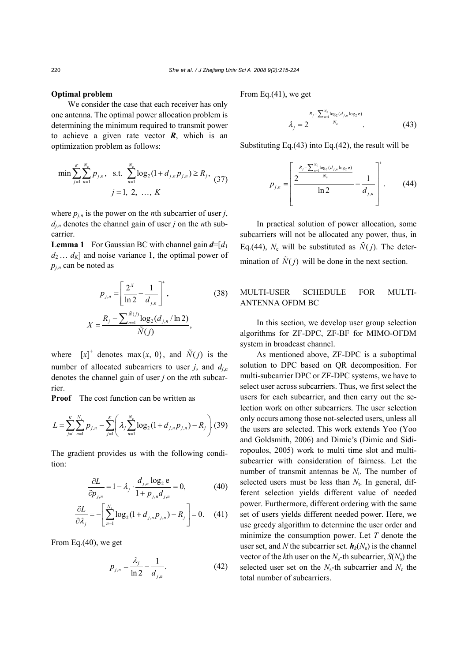#### **Optimal problem**

We consider the case that each receiver has only one antenna. The optimal power allocation problem is determining the minimum required to transmit power to achieve a given rate vector  $\mathbf{R}$ , which is an optimization problem as follows:

$$
\min \sum_{j=1}^{K} \sum_{n=1}^{N_c} p_{j,n}, \text{ s.t. } \sum_{n=1}^{N_c} \log_2(1 + d_{j,n} p_{j,n}) \ge R_j, (37)
$$
  

$$
j = 1, 2, ..., K
$$

where  $p_{j,n}$  is the power on the *n*th subcarrier of user *j*,  $d_{j,n}$  denotes the channel gain of user *j* on the *n*th subcarrier.

**Lemma 1** For Gaussian BC with channel gain  $d=$ [ $d_1$ ]  $d_2 \ldots d_k$  and noise variance 1, the optimal power of  $p_{j,n}$  can be noted as

$$
p_{j,n} = \left[\frac{2^x}{\ln 2} - \frac{1}{d_{j,n}}\right]^+,
$$
 (38)

$$
X = \frac{R_j - \sum_{n=1}^{\tilde{N}(j)} \log_2(d_{j,n}/\ln 2)}{\tilde{N}(j)},
$$

where  $[x]^+$  denotes max $\{x, 0\}$ , and  $\tilde{N}(j)$  is the number of allocated subcarriers to user *j*, and  $d_{in}$ denotes the channel gain of user *j* on the *n*th subcarrier.

**Proof** The cost function can be written as

$$
L = \sum_{j=1}^{K} \sum_{n=1}^{N_c} p_{j,n} - \sum_{j=1}^{K} \left( \lambda_j \sum_{n=1}^{N_c} \log_2 \left( 1 + d_{j,n} p_{j,n} \right) - R_j \right) . (39)
$$

The gradient provides us with the following condition:

$$
\frac{\partial L}{\partial p_{j,n}} = 1 - \lambda_j \cdot \frac{d_{j,n} \log_2 e}{1 + p_{j,n} d_{j,n}} = 0,
$$
 (40)

$$
\frac{\partial L}{\partial \lambda_j} = -\left[\sum_{n=1}^{N_c} \log_2\left(1 + d_{j,n} p_{j,n}\right) - R_j\right] = 0. \quad (41)
$$

From Eq.(40), we get

$$
p_{j,n} = \frac{\lambda_j}{\ln 2} - \frac{1}{d_{j,n}}.
$$
 (42)

From Eq.(41), we get

$$
\lambda_{j} = 2^{\frac{R_{j} - \sum_{n=1}^{N_{c}} \log_{2} (d_{j,n} \log_{2} e)}{N_{c}}}
$$
 (43)

Substituting Eq.(43) into Eq.(42), the result will be

$$
p_{j,n} = \left[ \frac{\frac{R_j - \sum_{n=1}^{N_c} \log_2(d_{j,n} \log_2 e)}{N_c}}{\ln 2} - \frac{1}{d_{j,n}} \right]^+.
$$
 (44)

In practical solution of power allocation, some subcarriers will not be allocated any power, thus, in Eq.(44),  $N_c$  will be substituted as  $\tilde{N}(i)$ . The determination of  $\tilde{N}(i)$  will be done in the next section.

# MULTI-USER SCHEDULE FOR MULTI-ANTENNA OFDM BC

In this section, we develop user group selection algorithms for ZF-DPC, ZF-BF for MIMO-OFDM system in broadcast channel.

As mentioned above, ZF-DPC is a suboptimal solution to DPC based on QR decomposition. For multi-subcarrier DPC or ZF-DPC systems, we have to select user across subcarriers. Thus, we first select the users for each subcarrier, and then carry out the selection work on other subcarriers. The user selection only occurs among those not-selected users, unless all the users are selected. This work extends Yoo (Yoo and Goldsmith, 2006) and Dimic's (Dimic and Sidiropoulos, 2005) work to multi time slot and multisubcarrier with consideration of fairness. Let the number of transmit antennas be  $N_t$ . The number of selected users must be less than  $N_t$ . In general, different selection yields different value of needed power. Furthermore, different ordering with the same set of users yields different needed power. Here, we use greedy algorithm to determine the user order and minimize the consumption power. Let *T* denote the user set, and *N* the subcarrier set.  $h_k(N_s)$  is the channel vector of the *k*th user on the  $N_s$ -th subcarrier,  $S(N_s)$  the selected user set on the  $N_s$ -th subcarrier and  $N_c$  the total number of subcarriers.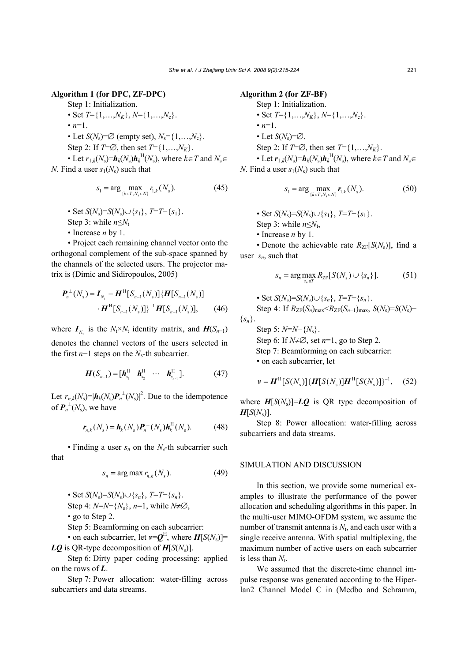# **Algorithm 1 (for DPC, ZF-DPC)**

Step 1: Initialization.

- Set  $T = \{1, \ldots, N_K\}, N = \{1, \ldots, N_c\}.$  $\cdot$   $n=1$ . • Let  $S(N_s) = \emptyset$  (empty set),  $N_s = \{1, \ldots, N_c\}$ . Step 2: If  $T=\emptyset$ , then set  $T=\{1,\ldots,N_K\}$ .
- Let  $r_{1,k}(N_s) = h_k(N_s)h_k^{\text{H}}(N_s)$ , where  $k \in T$  and  $N_s \in$ *N*. Find a user  $s_1(N_s)$  such that

$$
s_{1} = \arg \max_{\{k \in T, N_{s} \in N\}} r_{1,k}(N_{s}). \tag{45}
$$

• Set  $S(N_s) = S(N_s) \cup \{s_1\}, T = T - \{s_1\}.$ Step 3: while  $n \leq N_t$ 

• Increase *n* by 1.

• Project each remaining channel vector onto the orthogonal complement of the sub-space spanned by the channels of the selected users. The projector matrix is (Dimic and Sidiropoulos, 2005)

$$
\begin{aligned} \boldsymbol{P}_{n}^{\perp}(N_{s}) &= \boldsymbol{I}_{N_{t}} - \boldsymbol{H}^{\mathrm{H}}[S_{n-1}(N_{s})]\{\boldsymbol{H}[S_{n-1}(N_{s})] \\ &\cdot \boldsymbol{H}^{\mathrm{H}}[S_{n-1}(N_{s})]\}^{-1}\boldsymbol{H}[S_{n-1}(N_{s})], \end{aligned} \tag{46}
$$

where  $I_{N_t}$  is the  $N_t \times N_t$  identity matrix, and  $H(S_{n-1})$ denotes the channel vectors of the users selected in the first *n*−1 steps on the *N*s*-*th subcarrier.

$$
H(S_{n-1}) = [h_{s_1}^{\rm H} \quad h_{s_2}^{\rm H} \quad \cdots \quad h_{s_{n-1}}^{\rm H}]. \tag{47}
$$

Let  $r_{n,k}(N_s) = |h_k(N_s)P_n^{\perp}(N_s)|^2$ . Due to the idempotence of  $P_n^{\perp}(N_s)$ , we have

$$
\mathbf{r}_{n,k}(N_{\mathrm{s}}) = \mathbf{h}_k(N_{\mathrm{s}}) \mathbf{P}_n^{\perp}(N_{\mathrm{s}}) \mathbf{h}_k^{\mathrm{H}}(N_{\mathrm{s}}). \tag{48}
$$

• Finding a user  $s_n$  on the  $N_s$ -th subcarrier such that

$$
s_n = \arg \max r_{n,k}(N_s). \tag{49}
$$

• Set  $S(N_s) = S(N_s) \cup \{s_n\}$ ,  $T = T - \{s_n\}$ .

Step 4: *N*=*N*−{*N*s}, *n*=1, while *N*≠∅,

• go to Step 2.

Step 5: Beamforming on each subcarrier:

• on each subcarrier, let  $v = Q^H$ , where  $H[S(N_s)] =$ *LQ* is QR-type decomposition of  $H[S(N<sub>s</sub>)]$ .

Step 6: Dirty paper coding processing: applied on the rows of *L*.

Step 7: Power allocation: water-filling across subcarriers and data streams.

### **Algorithm 2 (for ZF-BF)**

Step 1: Initialization. • Set  $T = \{1, \ldots, N_K\}, N = \{1, \ldots, N_c\}.$ •  $n=1$ . • Let  $S(N_s)=\emptyset$ . Step 2: If  $T=\emptyset$ , then set  $T=\{1,\ldots,N_K\}$ . • Let  $r_{1,k}(N_s) = h_k(N_s)h_k^{\text{H}}(N_s)$ , where  $k \in T$  and  $N_s \in$ *N*. Find a user  $s_1(N_s)$  such that

$$
s_1 = \arg \max_{\{k \in T, N_s \in N\}} r_{1,k}(N_s). \tag{50}
$$

• Set  $S(N_s) = S(N_s) \cup \{s_1\}, T = T - \{s_1\}.$ Step 3: while  $n \leq N_t$ , • Increase *n* by 1. • Denote the achievable rate  $R_{\text{ZF}}[S(N_s)]$ , find a

user  $s_n$ , such that

$$
s_n = \arg\max_{s_n \in T} R_{\text{ZF}}[S(N_s) \cup \{s_n\}]. \tag{51}
$$

• Set 
$$
S(N_s)=S(N_s)\cup \{s_n\}
$$
,  $T=T-\{s_n\}$ .  
Step 4: If  $R_{ZF}(S_n)_{\text{max}} < R_{ZF}(S_{n-1})_{\text{max}}$ ,  $S(N_s)=S(N_s)-$ 

 ${s_n}.$ Step 5: *N*=*N*−{*N*s}. Step 6: If *N*≠∅, set *n*=1, go to Step 2. Step 7: Beamforming on each subcarrier: • on each subcarrier, let

$$
\mathbf{v} = \boldsymbol{H}^{\mathrm{H}}[S(N_{\mathrm{s}})]\{\boldsymbol{H}[S(N_{\mathrm{s}})]\boldsymbol{H}^{\mathrm{H}}[S(N_{\mathrm{s}})]\}^{-1}, \quad (52)
$$

where  $H[S(N_s)] = LQ$  is QR type decomposition of  $H[S(N_s)]$ .

Step 8: Power allocation: water-filling across subcarriers and data streams.

#### SIMULATION AND DISCUSSION

In this section, we provide some numerical examples to illustrate the performance of the power allocation and scheduling algorithms in this paper. In the multi-user MIMO-OFDM system, we assume the number of transmit antenna is  $N_t$ , and each user with a single receive antenna. With spatial multiplexing, the maximum number of active users on each subcarrier is less than  $N_t$ .

We assumed that the discrete-time channel impulse response was generated according to the Hiperlan2 Channel Model C in (Medbo and Schramm,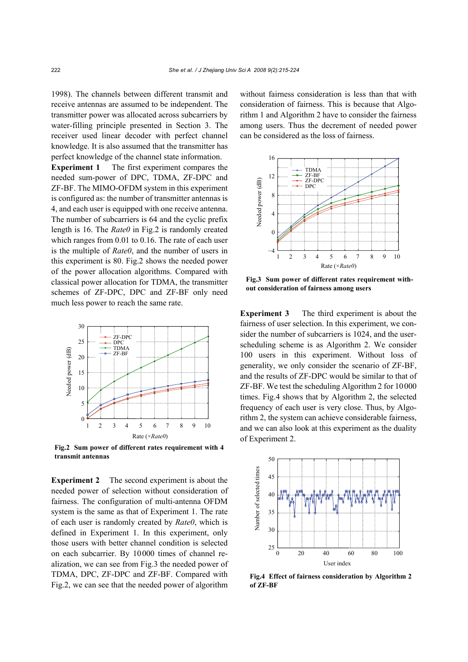1998). The channels between different transmit and receive antennas are assumed to be independent. The transmitter power was allocated across subcarriers by water-filling principle presented in Section 3. The receiver used linear decoder with perfect channel knowledge. It is also assumed that the transmitter has perfect knowledge of the channel state information.

**Experiment 1** The first experiment compares the needed sum-power of DPC, TDMA, ZF-DPC and ZF-BF. The MIMO-OFDM system in this experiment is configured as: the number of transmitter antennas is 4, and each user is equipped with one receive antenna. The number of subcarriers is 64 and the cyclic prefix length is 16. The *Rate0* in Fig.2 is randomly created which ranges from 0.01 to 0.16. The rate of each user is the multiple of *Rate0*, and the number of users in this experiment is 80. Fig.2 shows the needed power of the power allocation algorithms. Compared with classical power allocation for TDMA, the transmitter schemes of ZF-DPC, DPC and ZF-BF only need much less power to reach the same rate.



**Fig.2 Sum power of different rates requirement with 4**

**Experiment 2** The second experiment is about the needed power of selection without consideration of fairness. The configuration of multi-antenna OFDM system is the same as that of Experiment 1. The rate of each user is randomly created by *Rate0*, which is defined in Experiment 1. In this experiment, only those users with better channel condition is selected on each subcarrier. By 10000 times of channel realization, we can see from Fig.3 the needed power of TDMA, DPC, ZF-DPC and ZF-BF. Compared with Fig.2, we can see that the needed power of algorithm without fairness consideration is less than that with consideration of fairness. This is because that Algorithm 1 and Algorithm 2 have to consider the fairness among users. Thus the decrement of needed power can be considered as the loss of fairness.



**Fig.3 Sum power of different rates requirement without consideration of fairness among users** 

**Experiment 3** The third experiment is about the fairness of user selection. In this experiment, we consider the number of subcarriers is 1024, and the userscheduling scheme is as Algorithm 2. We consider 100 users in this experiment. Without loss of generality, we only consider the scenario of ZF-BF, and the results of ZF-DPC would be similar to that of ZF-BF. We test the scheduling Algorithm 2 for 10000 times. Fig.4 shows that by Algorithm 2, the selected frequency of each user is very close. Thus, by Algorithm 2, the system can achieve considerable fairness, and we can also look at this experiment as the duality of Experiment 2. **of Algentiace Set Algentiace Set Algentify**<br> **of Algentiace Set Algentify**<br> **of Algentiace power (and not consider periment**<br> **of Algentify**, the resulting<br>
of Algentify, the resulting<br>  $\frac{36}{25}$ <br>  $\frac{1}{25}$ <br>  $\frac{45}{25$ 



**Fig.4 Effect of fairness consideration by Algorithm 2**  of ZF-BF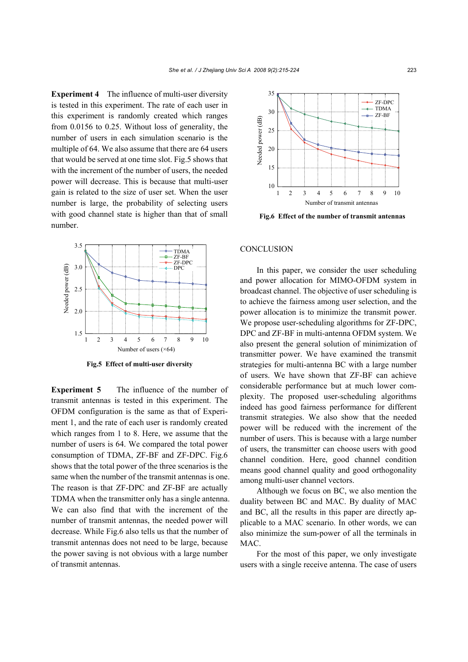**Experiment 4** The influence of multi-user diversity is tested in this experiment. The rate of each user in this experiment is randomly created which ranges from 0.0156 to 0.25. Without loss of generality, the number of users in each simulation scenario is the multiple of 64. We also assume that there are 64 users that would be served at one time slot. Fig.5 shows that with the increment of the number of users, the needed power will decrease. This is because that multi-user gain is related to the size of user set. When the user number is large, the probability of selecting users with good channel state is higher than that of small number.



**Fig.5 Effect of multi-user diversity** 

**Experiment 5** The influence of the number of transmit antennas is tested in this experiment. The OFDM configuration is the same as that of Experiment 1, and the rate of each user is randomly created which ranges from 1 to 8. Here, we assume that the number of users is 64. We compared the total power consumption of TDMA, ZF-BF and ZF-DPC. Fig.6 shows that the total power of the three scenarios is the same when the number of the transmit antennas is one. The reason is that ZF-DPC and ZF-BF are actually TDMA when the transmitter only has a single antenna. We can also find that with the increment of the number of transmit antennas, the needed power will decrease. While Fig.6 also tells us that the number of transmit antennas does not need to be large, because the power saving is not obvious with a large number of transmit antennas.



**Fig.6 Effect of the number of transmit antennas** 

#### **CONCLUSION**

In this paper, we consider the user scheduling and power allocation for MIMO-OFDM system in broadcast channel. The objective of user scheduling is to achieve the fairness among user selection, and the power allocation is to minimize the transmit power. We propose user-scheduling algorithms for ZF-DPC, DPC and ZF-BF in multi-antenna OFDM system. We also present the general solution of minimization of transmitter power. We have examined the transmit strategies for multi-antenna BC with a large number of users. We have shown that ZF-BF can achieve considerable performance but at much lower complexity. The proposed user-scheduling algorithms indeed has good fairness performance for different transmit strategies. We also show that the needed power will be reduced with the increment of the number of users. This is because with a large number of users, the transmitter can choose users with good channel condition. Here, good channel condition means good channel quality and good orthogonality among multi-user channel vectors.

Although we focus on BC, we also mention the duality between BC and MAC. By duality of MAC and BC, all the results in this paper are directly applicable to a MAC scenario. In other words, we can also minimize the sum-power of all the terminals in MAC.

For the most of this paper, we only investigate users with a single receive antenna. The case of users